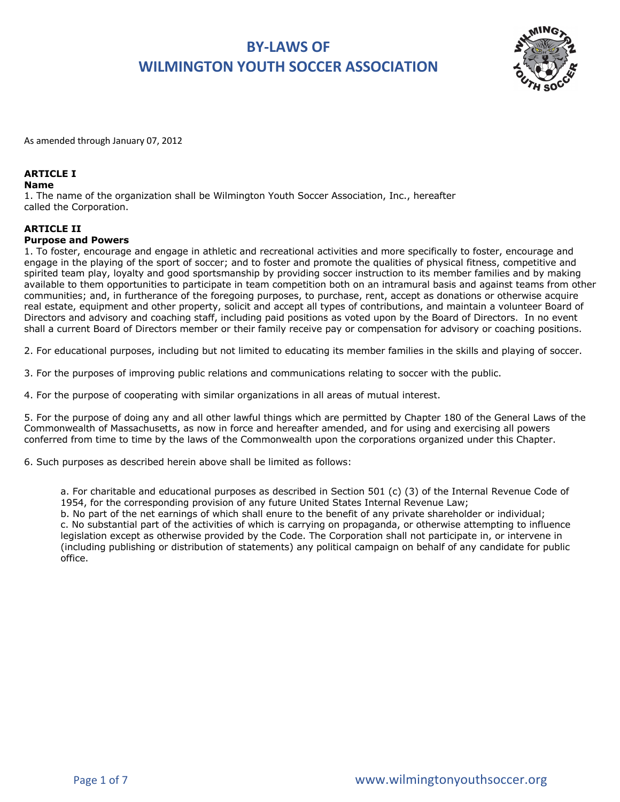

As amended through January 07, 2012

## **ARTICLE I**

### **Name**

1. The name of the organization shall be Wilmington Youth Soccer Association, Inc., hereafter called the Corporation.

### **ARTICLE II**

### **Purpose and Powers**

1. To foster, encourage and engage in athletic and recreational activities and more specifically to foster, encourage and engage in the playing of the sport of soccer; and to foster and promote the qualities of physical fitness, competitive and spirited team play, loyalty and good sportsmanship by providing soccer instruction to its member families and by making available to them opportunities to participate in team competition both on an intramural basis and against teams from other communities; and, in furtherance of the foregoing purposes, to purchase, rent, accept as donations or otherwise acquire real estate, equipment and other property, solicit and accept all types of contributions, and maintain a volunteer Board of Directors and advisory and coaching staff, including paid positions as voted upon by the Board of Directors. In no event shall a current Board of Directors member or their family receive pay or compensation for advisory or coaching positions.

2. For educational purposes, including but not limited to educating its member families in the skills and playing of soccer.

3. For the purposes of improving public relations and communications relating to soccer with the public.

4. For the purpose of cooperating with similar organizations in all areas of mutual interest.

5. For the purpose of doing any and all other lawful things which are permitted by Chapter 180 of the General Laws of the Commonwealth of Massachusetts, as now in force and hereafter amended, and for using and exercising all powers conferred from time to time by the laws of the Commonwealth upon the corporations organized under this Chapter.

6. Such purposes as described herein above shall be limited as follows:

a. For charitable and educational purposes as described in Section 501 (c) (3) of the Internal Revenue Code of 1954, for the corresponding provision of any future United States Internal Revenue Law;

b. No part of the net earnings of which shall enure to the benefit of any private shareholder or individual; c. No substantial part of the activities of which is carrying on propaganda, or otherwise attempting to influence legislation except as otherwise provided by the Code. The Corporation shall not participate in, or intervene in (including publishing or distribution of statements) any political campaign on behalf of any candidate for public office.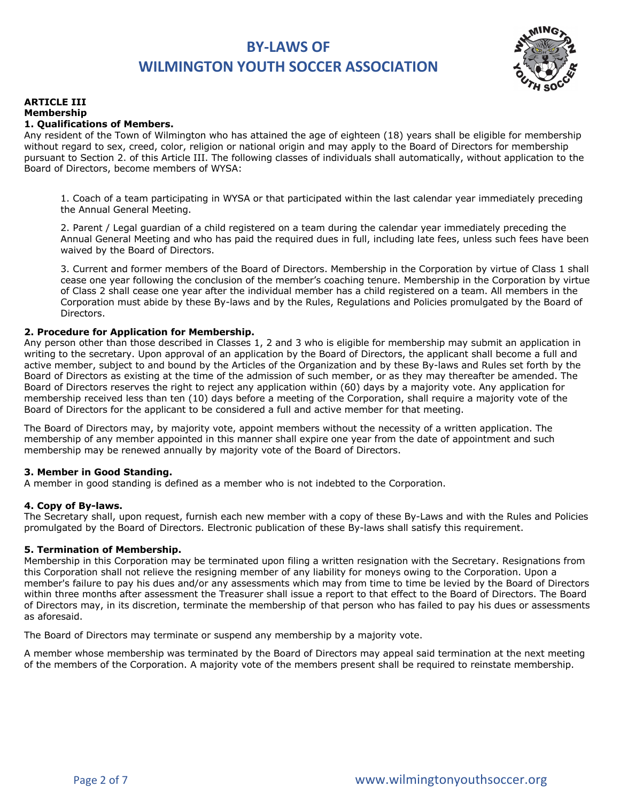

#### **ARTICLE III Membership 1. Qualifications of Members.**

Any resident of the Town of Wilmington who has attained the age of eighteen (18) years shall be eligible for membership without regard to sex, creed, color, religion or national origin and may apply to the Board of Directors for membership pursuant to Section 2. of this Article III. The following classes of individuals shall automatically, without application to the Board of Directors, become members of WYSA:

1. Coach of a team participating in WYSA or that participated within the last calendar year immediately preceding the Annual General Meeting.

2. Parent / Legal guardian of a child registered on a team during the calendar year immediately preceding the Annual General Meeting and who has paid the required dues in full, including late fees, unless such fees have been waived by the Board of Directors.

3. Current and former members of the Board of Directors. Membership in the Corporation by virtue of Class 1 shall cease one year following the conclusion of the member's coaching tenure. Membership in the Corporation by virtue of Class 2 shall cease one year after the individual member has a child registered on a team. All members in the Corporation must abide by these By-laws and by the Rules, Regulations and Policies promulgated by the Board of Directors.

## **2. Procedure for Application for Membership.**

Any person other than those described in Classes 1, 2 and 3 who is eligible for membership may submit an application in writing to the secretary. Upon approval of an application by the Board of Directors, the applicant shall become a full and active member, subject to and bound by the Articles of the Organization and by these By-laws and Rules set forth by the Board of Directors as existing at the time of the admission of such member, or as they may thereafter be amended. The Board of Directors reserves the right to reject any application within (60) days by a majority vote. Any application for membership received less than ten (10) days before a meeting of the Corporation, shall require a majority vote of the Board of Directors for the applicant to be considered a full and active member for that meeting.

The Board of Directors may, by majority vote, appoint members without the necessity of a written application. The membership of any member appointed in this manner shall expire one year from the date of appointment and such membership may be renewed annually by majority vote of the Board of Directors.

### **3. Member in Good Standing.**

A member in good standing is defined as a member who is not indebted to the Corporation.

### **4. Copy of By-laws.**

The Secretary shall, upon request, furnish each new member with a copy of these By-Laws and with the Rules and Policies promulgated by the Board of Directors. Electronic publication of these By-laws shall satisfy this requirement.

### **5. Termination of Membership.**

Membership in this Corporation may be terminated upon filing a written resignation with the Secretary. Resignations from this Corporation shall not relieve the resigning member of any liability for moneys owing to the Corporation. Upon a member's failure to pay his dues and/or any assessments which may from time to time be levied by the Board of Directors within three months after assessment the Treasurer shall issue a report to that effect to the Board of Directors. The Board of Directors may, in its discretion, terminate the membership of that person who has failed to pay his dues or assessments as aforesaid.

The Board of Directors may terminate or suspend any membership by a majority vote.

A member whose membership was terminated by the Board of Directors may appeal said termination at the next meeting of the members of the Corporation. A majority vote of the members present shall be required to reinstate membership.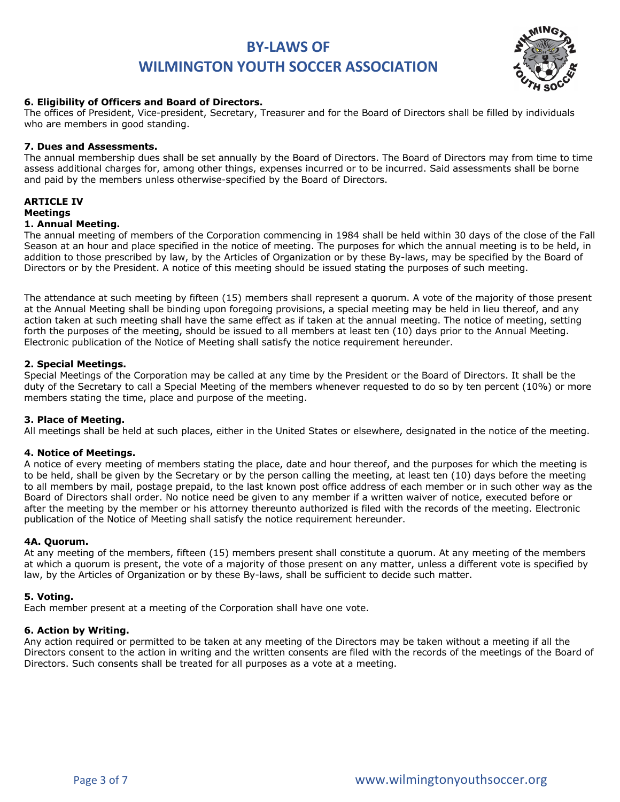

### **6. Eligibility of Officers and Board of Directors.**

The offices of President, Vice-president, Secretary, Treasurer and for the Board of Directors shall be filled by individuals who are members in good standing.

### **7. Dues and Assessments.**

The annual membership dues shall be set annually by the Board of Directors. The Board of Directors may from time to time assess additional charges for, among other things, expenses incurred or to be incurred. Said assessments shall be borne and paid by the members unless otherwise-specified by the Board of Directors.

# **ARTICLE IV**

# **Meetings**

# **1. Annual Meeting.**

The annual meeting of members of the Corporation commencing in 1984 shall be held within 30 days of the close of the Fall Season at an hour and place specified in the notice of meeting. The purposes for which the annual meeting is to be held, in addition to those prescribed by law, by the Articles of Organization or by these By-laws, may be specified by the Board of Directors or by the President. A notice of this meeting should be issued stating the purposes of such meeting.

The attendance at such meeting by fifteen (15) members shall represent a quorum. A vote of the majority of those present at the Annual Meeting shall be binding upon foregoing provisions, a special meeting may be held in lieu thereof, and any action taken at such meeting shall have the same effect as if taken at the annual meeting. The notice of meeting, setting forth the purposes of the meeting, should be issued to all members at least ten (10) days prior to the Annual Meeting. Electronic publication of the Notice of Meeting shall satisfy the notice requirement hereunder.

### **2. Special Meetings.**

Special Meetings of the Corporation may be called at any time by the President or the Board of Directors. It shall be the duty of the Secretary to call a Special Meeting of the members whenever requested to do so by ten percent (10%) or more members stating the time, place and purpose of the meeting.

### **3. Place of Meeting.**

All meetings shall be held at such places, either in the United States or elsewhere, designated in the notice of the meeting.

### **4. Notice of Meetings.**

A notice of every meeting of members stating the place, date and hour thereof, and the purposes for which the meeting is to be held, shall be given by the Secretary or by the person calling the meeting, at least ten (10) days before the meeting to all members by mail, postage prepaid, to the last known post office address of each member or in such other way as the Board of Directors shall order. No notice need be given to any member if a written waiver of notice, executed before or after the meeting by the member or his attorney thereunto authorized is filed with the records of the meeting. Electronic publication of the Notice of Meeting shall satisfy the notice requirement hereunder.

### **4A. Quorum.**

At any meeting of the members, fifteen (15) members present shall constitute a quorum. At any meeting of the members at which a quorum is present, the vote of a majority of those present on any matter, unless a different vote is specified by law, by the Articles of Organization or by these By-laws, shall be sufficient to decide such matter.

### **5. Voting.**

Each member present at a meeting of the Corporation shall have one vote.

#### **6. Action by Writing.**

Any action required or permitted to be taken at any meeting of the Directors may be taken without a meeting if all the Directors consent to the action in writing and the written consents are filed with the records of the meetings of the Board of Directors. Such consents shall be treated for all purposes as a vote at a meeting.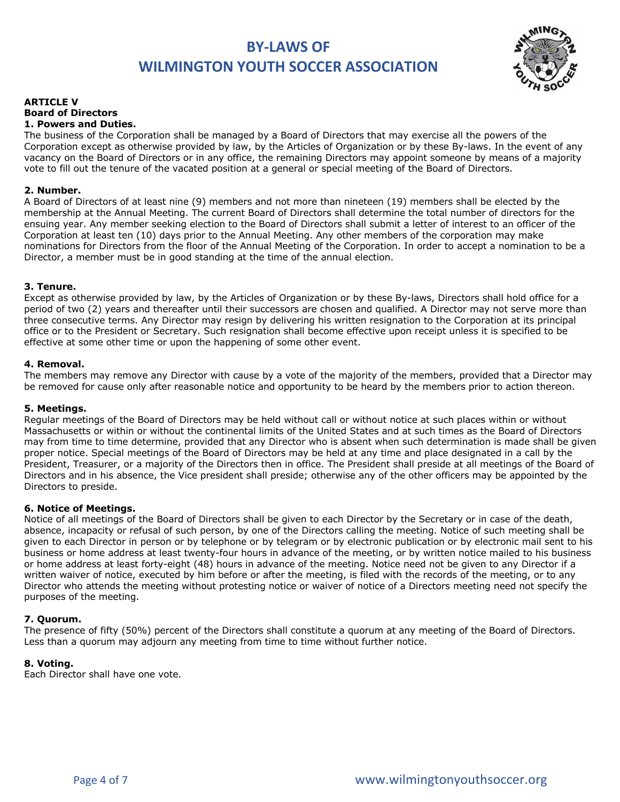

#### **ARTICLE V Board of Directors 1. Powers and Duties.**

The business of the Corporation shall be managed by a Board of Directors that may exercise all the powers of the Corporation except as otherwise provided by law, by the Articles of Organization or by these By-laws. In the event of any vacancy on the Board of Directors or in any office, the remaining Directors may appoint someone by means of a majority vote to fill out the tenure of the vacated position at a general or special meeting of the Board of Directors.

# **2. Number.**

A Board of Directors of at least nine (9) members and not more than nineteen (19) members shall be elected by the membership at the Annual Meeting. The current Board of Directors shall determine the total number of directors for the ensuing year. Any member seeking election to the Board of Directors shall submit a letter of interest to an officer of the Corporation at least ten (10) days prior to the Annual Meeting. Any other members of the corporation may make nominations for Directors from the floor of the Annual Meeting of the Corporation. In order to accept a nomination to be a Director, a member must be in good standing at the time of the annual election.

## **3. Tenure.**

Except as otherwise provided by law, by the Articles of Organization or by these By-laws, Directors shall hold office for a period of two (2) years and thereafter until their successors are chosen and qualified. A Director may not serve more than three consecutive terms. Any Director may resign by delivering his written resignation to the Corporation at its principal office or to the President or Secretary. Such resignation shall become effective upon receipt unless it is specified to be effective at some other time or upon the happening of some other event.

## **4. Removal.**

The members may remove any Director with cause by a vote of the majority of the members, provided that a Director may be removed for cause only after reasonable notice and opportunity to be heard by the members prior to action thereon.

### **5. Meetings.**

Regular meetings of the Board of Directors may be held without call or without notice at such places within or without Massachusetts or within or without the continental limits of the United States and at such times as the Board of Directors may from time to time determine, provided that any Director who is absent when such determination is made shall be given proper notice. Special meetings of the Board of Directors may be held at any time and place designated in a call by the President, Treasurer, or a majority of the Directors then in office. The President shall preside at all meetings of the Board of Directors and in his absence, the Vice president shall preside; otherwise any of the other officers may be appointed by the Directors to preside.

### **6. Notice of Meetings.**

Notice of all meetings of the Board of Directors shall be given to each Director by the Secretary or in case of the death, absence, incapacity or refusal of such person, by one of the Directors calling the meeting. Notice of such meeting shall be given to each Director in person or by telephone or by telegram or by electronic publication or by electronic mail sent to his business or home address at least twenty-four hours in advance of the meeting, or by written notice mailed to his business or home address at least forty-eight (48) hours in advance of the meeting. Notice need not be given to any Director if a written waiver of notice, executed by him before or after the meeting, is filed with the records of the meeting, or to any Director who attends the meeting without protesting notice or waiver of notice of a Directors meeting need not specify the purposes of the meeting.

### **7. Quorum.**

The presence of fifty (50%) percent of the Directors shall constitute a quorum at any meeting of the Board of Directors. Less than a quorum may adjourn any meeting from time to time without further notice.

### **8. Voting.**

Each Director shall have one vote.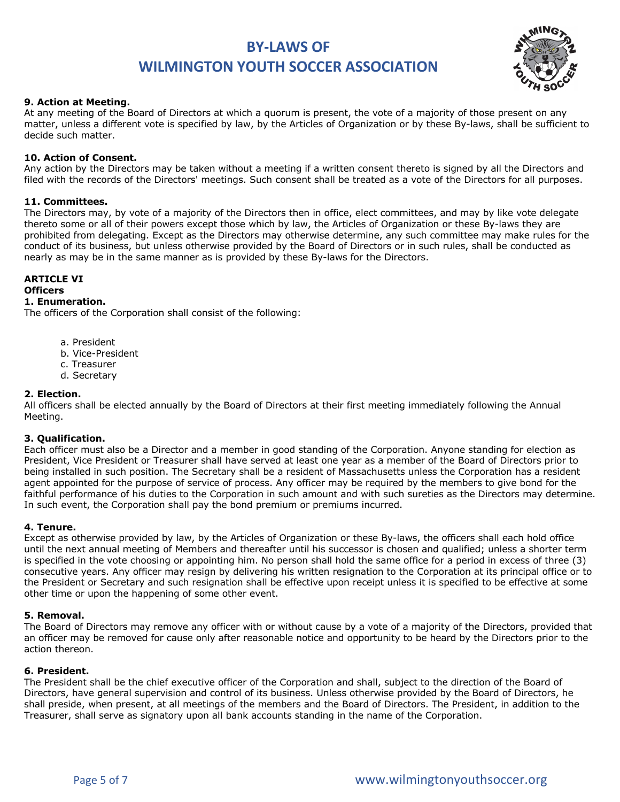

### **9. Action at Meeting.**

At any meeting of the Board of Directors at which a quorum is present, the vote of a majority of those present on any matter, unless a different vote is specified by law, by the Articles of Organization or by these By-laws, shall be sufficient to decide such matter.

### **10. Action of Consent.**

Any action by the Directors may be taken without a meeting if a written consent thereto is signed by all the Directors and filed with the records of the Directors' meetings. Such consent shall be treated as a vote of the Directors for all purposes.

### **11. Committees.**

The Directors may, by vote of a majority of the Directors then in office, elect committees, and may by like vote delegate thereto some or all of their powers except those which by law, the Articles of Organization or these By-laws they are prohibited from delegating. Except as the Directors may otherwise determine, any such committee may make rules for the conduct of its business, but unless otherwise provided by the Board of Directors or in such rules, shall be conducted as nearly as may be in the same manner as is provided by these By-laws for the Directors.

#### **ARTICLE VI Officers 1. Enumeration.**

The officers of the Corporation shall consist of the following:

- a. President
- b. Vice-President
- c. Treasurer
- d. Secretary

### **2. Election.**

All officers shall be elected annually by the Board of Directors at their first meeting immediately following the Annual Meeting.

### **3. Qualification.**

Each officer must also be a Director and a member in good standing of the Corporation. Anyone standing for election as President, Vice President or Treasurer shall have served at least one year as a member of the Board of Directors prior to being installed in such position. The Secretary shall be a resident of Massachusetts unless the Corporation has a resident agent appointed for the purpose of service of process. Any officer may be required by the members to give bond for the faithful performance of his duties to the Corporation in such amount and with such sureties as the Directors may determine. In such event, the Corporation shall pay the bond premium or premiums incurred.

### **4. Tenure.**

Except as otherwise provided by law, by the Articles of Organization or these By-laws, the officers shall each hold office until the next annual meeting of Members and thereafter until his successor is chosen and qualified; unless a shorter term is specified in the vote choosing or appointing him. No person shall hold the same office for a period in excess of three (3) consecutive years. Any officer may resign by delivering his written resignation to the Corporation at its principal office or to the President or Secretary and such resignation shall be effective upon receipt unless it is specified to be effective at some other time or upon the happening of some other event.

### **5. Removal.**

The Board of Directors may remove any officer with or without cause by a vote of a majority of the Directors, provided that an officer may be removed for cause only after reasonable notice and opportunity to be heard by the Directors prior to the action thereon.

### **6. President.**

The President shall be the chief executive officer of the Corporation and shall, subject to the direction of the Board of Directors, have general supervision and control of its business. Unless otherwise provided by the Board of Directors, he shall preside, when present, at all meetings of the members and the Board of Directors. The President, in addition to the Treasurer, shall serve as signatory upon all bank accounts standing in the name of the Corporation.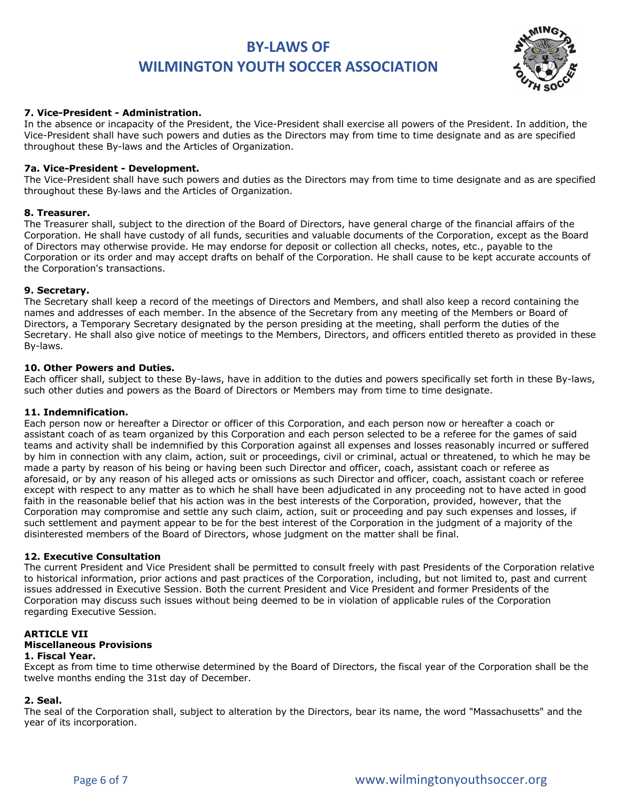

### **7. Vice-President - Administration.**

In the absence or incapacity of the President, the Vice-President shall exercise all powers of the President. In addition, the Vice-President shall have such powers and duties as the Directors may from time to time designate and as are specified throughout these By-laws and the Articles of Organization.

### **7a. Vice-President - Development.**

The Vice-President shall have such powers and duties as the Directors may from time to time designate and as are specified throughout these By-laws and the Articles of Organization.

### **8. Treasurer.**

The Treasurer shall, subject to the direction of the Board of Directors, have general charge of the financial affairs of the Corporation. He shall have custody of all funds, securities and valuable documents of the Corporation, except as the Board of Directors may otherwise provide. He may endorse for deposit or collection all checks, notes, etc., payable to the Corporation or its order and may accept drafts on behalf of the Corporation. He shall cause to be kept accurate accounts of the Corporation's transactions.

### **9. Secretary.**

The Secretary shall keep a record of the meetings of Directors and Members, and shall also keep a record containing the names and addresses of each member. In the absence of the Secretary from any meeting of the Members or Board of Directors, a Temporary Secretary designated by the person presiding at the meeting, shall perform the duties of the Secretary. He shall also give notice of meetings to the Members, Directors, and officers entitled thereto as provided in these By-laws.

### **10. Other Powers and Duties.**

Each officer shall, subject to these By-laws, have in addition to the duties and powers specifically set forth in these By-laws, such other duties and powers as the Board of Directors or Members may from time to time designate.

#### **11. Indemnification.**

Each person now or hereafter a Director or officer of this Corporation, and each person now or hereafter a coach or assistant coach of as team organized by this Corporation and each person selected to be a referee for the games of said teams and activity shall be indemnified by this Corporation against all expenses and losses reasonably incurred or suffered by him in connection with any claim, action, suit or proceedings, civil or criminal, actual or threatened, to which he may be made a party by reason of his being or having been such Director and officer, coach, assistant coach or referee as aforesaid, or by any reason of his alleged acts or omissions as such Director and officer, coach, assistant coach or referee except with respect to any matter as to which he shall have been adjudicated in any proceeding not to have acted in good faith in the reasonable belief that his action was in the best interests of the Corporation, provided, however, that the Corporation may compromise and settle any such claim, action, suit or proceeding and pay such expenses and losses, if such settlement and payment appear to be for the best interest of the Corporation in the judgment of a majority of the disinterested members of the Board of Directors, whose judgment on the matter shall be final.

#### **12. Executive Consultation**

The current President and Vice President shall be permitted to consult freely with past Presidents of the Corporation relative to historical information, prior actions and past practices of the Corporation, including, but not limited to, past and current issues addressed in Executive Session. Both the current President and Vice President and former Presidents of the Corporation may discuss such issues without being deemed to be in violation of applicable rules of the Corporation regarding Executive Session.

# **ARTICLE VII**

# **Miscellaneous Provisions**

### **1. Fiscal Year.**

Except as from time to time otherwise determined by the Board of Directors, the fiscal year of the Corporation shall be the twelve months ending the 31st day of December.

#### **2. Seal.**

The seal of the Corporation shall, subject to alteration by the Directors, bear its name, the word "Massachusetts" and the year of its incorporation.